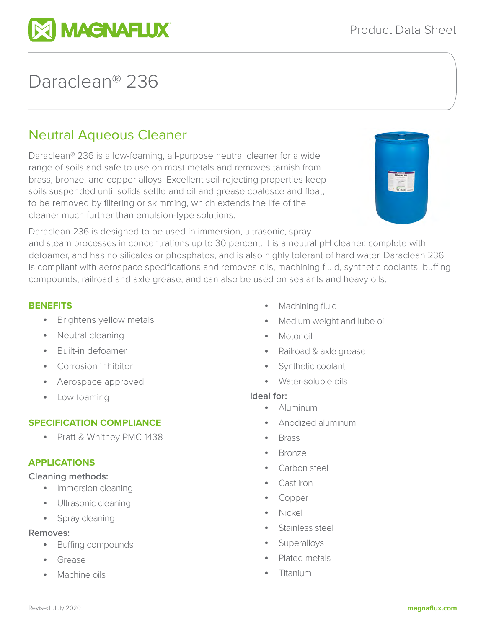

# Daraclean® 236

# Neutral Aqueous Cleaner

Daraclean® 236 is a low-foaming, all-purpose neutral cleaner for a wide range of soils and safe to use on most metals and removes tarnish from brass, bronze, and copper alloys. Excellent soil-rejecting properties keep soils suspended until solids settle and oil and grease coalesce and float, to be removed by filtering or skimming, which extends the life of the cleaner much further than emulsion-type solutions.



Daraclean 236 is designed to be used in immersion, ultrasonic, spray

and steam processes in concentrations up to 30 percent. It is a neutral pH cleaner, complete with defoamer, and has no silicates or phosphates, and is also highly tolerant of hard water. Daraclean 236 is compliant with aerospace specifications and removes oils, machining fluid, synthetic coolants, buffing compounds, railroad and axle grease, and can also be used on sealants and heavy oils.

#### **BENEFITS**

- Brightens yellow metals
- Neutral cleaning
- Built-in defoamer
- Corrosion inhibitor
- Aerospace approved
- Low foaming

# **SPECIFICATION COMPLIANCE**

• Pratt & Whitney PMC 1438

# **APPLICATIONS**

#### **Cleaning methods:**

- Immersion cleaning
- Ultrasonic cleaning
- Spray cleaning

#### **Removes:**

- Buffing compounds
- Grease
- Machine oils
- Machining fluid
- Medium weight and lube oil
- Motor oil
- Railroad & axle grease
- Synthetic coolant
- Water-soluble oils

#### **Ideal for:**

- Aluminum
- Anodized aluminum
- Brass
- Bronze
- Carbon steel
- Cast iron
- Copper
- Nickel
- Stainless steel
- Superalloys
- Plated metals
- Titanium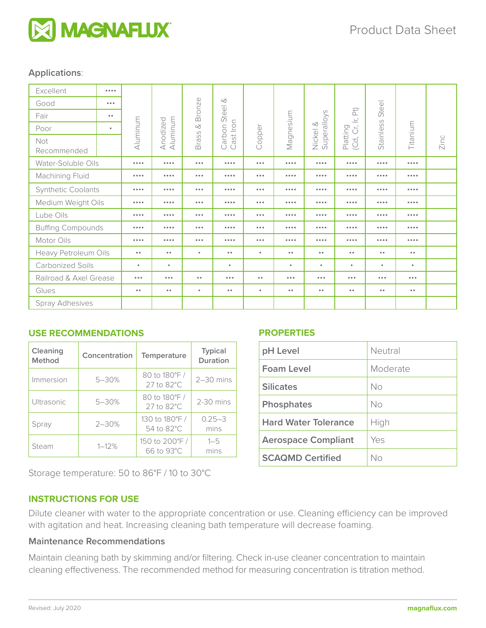

#### **Applications**:

| Excellent                 | $\cdots$                |                         |                         |                                           |                                              |                         |                         |                         |                                                                          |                         |                         |      |
|---------------------------|-------------------------|-------------------------|-------------------------|-------------------------------------------|----------------------------------------------|-------------------------|-------------------------|-------------------------|--------------------------------------------------------------------------|-------------------------|-------------------------|------|
| Good                      | $\bullet\bullet\bullet$ |                         | Aluminum<br>Anodized    | <b>Bronze</b><br>$\infty$<br><b>Brass</b> | $\infty$<br>Steel<br>ast Iron<br>Carbon<br>Ö | Copper                  | Magnesium               | Superalloys<br>Nickel & | $\widehat{E}$<br>$\overbrace{\phantom{12321}}$<br>(Cd, Cr, I<br>Platting | Steel<br>Stainless      | Titanium                | Zinc |
| Fair                      | $\bullet$               |                         |                         |                                           |                                              |                         |                         |                         |                                                                          |                         |                         |      |
| Poor                      | ٠                       | Aluminum                |                         |                                           |                                              |                         |                         |                         |                                                                          |                         |                         |      |
| Not<br>Recommended        |                         |                         |                         |                                           |                                              |                         |                         |                         |                                                                          |                         |                         |      |
| Water-Soluble Oils        |                         | 0.0.0.0                 |                         | $\bullet\bullet\bullet$                   |                                              | $\bullet\bullet\bullet$ | $\cdots$                |                         |                                                                          | 0.0.0.0                 | $\cdots$                |      |
| Machining Fluid           |                         | 0.0.0.0                 |                         | $\bullet\bullet\bullet$                   |                                              | $\bullet\bullet\bullet$ | $\cdots$                |                         | $\cdots$                                                                 | 0.0.0.0                 | $\cdots$                |      |
| <b>Synthetic Coolants</b> |                         | 0.0.0.0                 |                         | $\bullet\bullet\bullet$                   | $\cdots$                                     | $\bullet\bullet\bullet$ | 0.0.0.0                 | $\cdots$                | $\cdots$                                                                 | 0.0.0.0                 | $\cdots$                |      |
| Medium Weight Oils        |                         | 0.0.0.0                 |                         | $\bullet\bullet\bullet$                   |                                              | $\bullet\bullet\bullet$ |                         |                         | $\cdots$                                                                 | 0.0.0.0                 |                         |      |
| Lube Oils                 |                         | $\cdots$                |                         | $\bullet\bullet\bullet$                   |                                              | $\bullet\bullet\bullet$ | $\cdots$                |                         | $\cdots$                                                                 | 0.0.0.0                 | $\cdots$                |      |
| <b>Buffing Compounds</b>  |                         | 0.0.0.0                 |                         | $\bullet\bullet\bullet$                   |                                              | $\bullet\bullet\bullet$ | $\cdots$                |                         |                                                                          | 0.0.0.0                 | $\cdots$                |      |
| Motor Oils                |                         | 0.0.0.0                 |                         | $\bullet\bullet\bullet$                   |                                              | $\bullet\bullet\bullet$ | $\cdots$                | 0.0.0.0                 |                                                                          | 0.0.0.0                 | $\cdots$                |      |
| Heavy Petroleum Oils      |                         | $\bullet$               | $\bullet$               | $\bullet$                                 | $\bullet$                                    | $\bullet$               | $\bullet$               | $\bullet$               | $\bullet$ $\bullet$                                                      | $\bullet$               | $\bullet$ $\bullet$     |      |
| <b>Carbonized Soils</b>   |                         | $\bullet$               | $\bullet$               |                                           | $\bullet$                                    |                         | $\bullet$               | $\bullet$               | $\bullet$                                                                | ٠                       | $\bullet$               |      |
| Railroad & Axel Grease    |                         | $\bullet\bullet\bullet$ | $\bullet\bullet\bullet$ | $\bullet$ $\bullet$                       | $\bullet\bullet\bullet$                      | $\bullet$               | $\bullet\bullet\bullet$ | $\bullet\bullet\bullet$ | $\bullet\bullet\bullet$                                                  | $\bullet\bullet\bullet$ | $\bullet\bullet\bullet$ |      |
| Glues                     |                         | $\bullet$               | $\bullet$               | $\bullet$                                 | $\bullet$                                    | $\bullet$               | $\bullet$               | $\bullet$               | $\bullet$ $\bullet$                                                      | $\bullet$               | $\bullet$               |      |
| <b>Spray Adhesives</b>    |                         |                         |                         |                                           |                                              |                         |                         |                         |                                                                          |                         |                         |      |

#### **USE RECOMMENDATIONS**

| Cleaning<br>Method | Concentration | Temperature                 | <b>Typical</b><br><b>Duration</b> |  |
|--------------------|---------------|-----------------------------|-----------------------------------|--|
| Immersion          | $5 - 30%$     | 80 to 180°F/<br>27 to 82°C  | $2-30$ mins                       |  |
| Ultrasonic         | $5 - 30%$     | 80 to 180°F/<br>27 to 82°C  | 2-30 mins                         |  |
| Spray              | $2 - 30%$     | 130 to 180°F/<br>54 to 82°C | $0.25 - 3$<br>mins                |  |
| $1 - 12%$<br>Steam |               | 150 to 200°F/<br>66 to 93°C | $1 - 5$<br>mins                   |  |

Storage temperature: 50 to 86°F / 10 to 30°C

# **INSTRUCTIONS FOR USE**

Dilute cleaner with water to the appropriate concentration or use. Cleaning efficiency can be improved

with agitation and heat. Increasing cleaning bath temperature will decrease foaming.

### **Maintenance Recommendations**

Maintain cleaning bath by skimming and/or filtering. Check in-use cleaner concentration to maintain cleaning effectiveness. The recommended method for measuring concentration is titration method.

#### **PROPERTIES**

| pH Level                    | Neutral  |
|-----------------------------|----------|
| Foam Level                  | Moderate |
| <b>Silicates</b>            | Nο       |
| <b>Phosphates</b>           | Nο       |
| <b>Hard Water Tolerance</b> | High     |
| <b>Aerospace Compliant</b>  | Yes      |
| <b>SCAOMD Certified</b>     | Nο       |